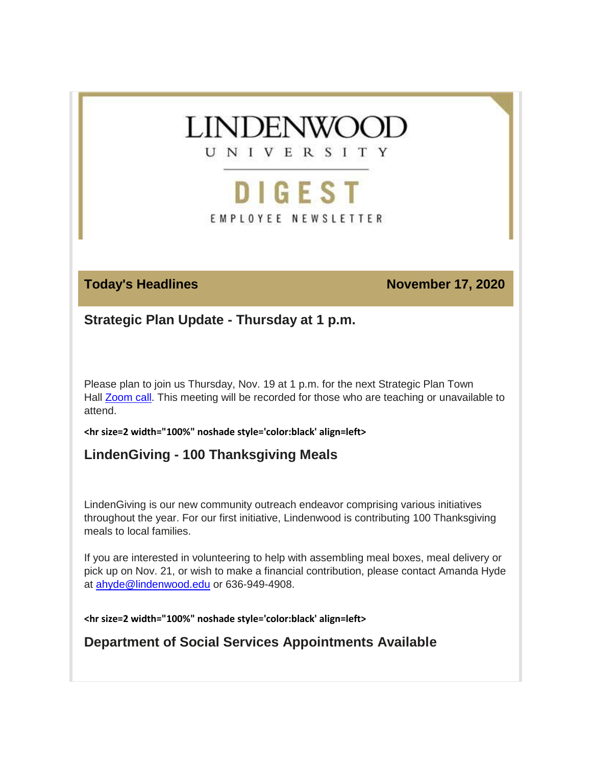

# **DIGEST**

EMPLOYEE NEWSLETTER

**Today's Headlines November 17, 2020** 

**Strategic Plan Update - Thursday at 1 p.m.**

Please plan to join us Thursday, Nov. 19 at 1 p.m. for the next Strategic Plan Town Hall **Zoom call**. This meeting will be recorded for those who are teaching or unavailable to attend.

**<hr size=2 width="100%" noshade style='color:black' align=left>**

### **LindenGiving - 100 Thanksgiving Meals**

LindenGiving is our new community outreach endeavor comprising various initiatives throughout the year. For our first initiative, Lindenwood is contributing 100 Thanksgiving meals to local families.

If you are interested in volunteering to help with assembling meal boxes, meal delivery or pick up on Nov. 21, or wish to make a financial contribution, please contact Amanda Hyde at [ahyde@lindenwood.edu](mailto:ahyde@lindenwood.edu) or 636-949-4908.

**<hr size=2 width="100%" noshade style='color:black' align=left>**

**Department of Social Services Appointments Available**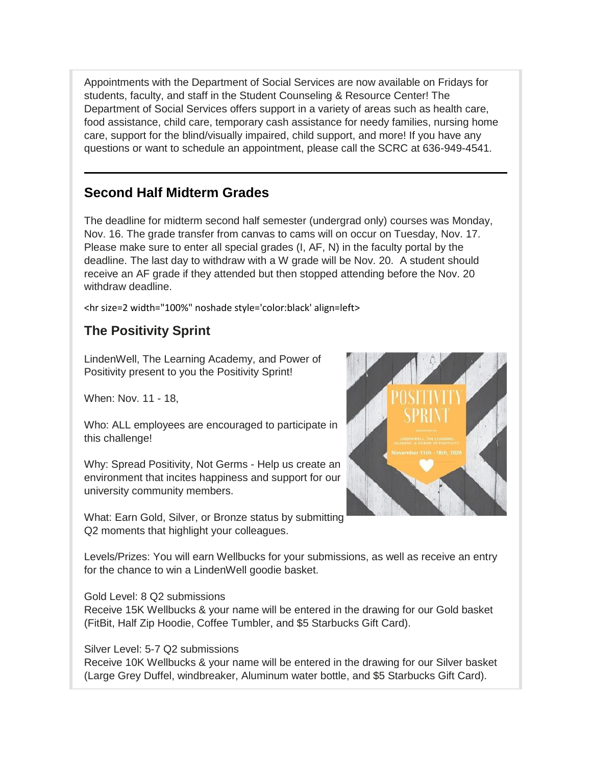Appointments with the Department of Social Services are now available on Fridays for students, faculty, and staff in the Student Counseling & Resource Center! The Department of Social Services offers support in a variety of areas such as health care, food assistance, child care, temporary cash assistance for needy families, nursing home care, support for the blind/visually impaired, child support, and more! If you have any questions or want to schedule an appointment, please call the SCRC at 636-949-4541.

### **Second Half Midterm Grades**

The deadline for midterm second half semester (undergrad only) courses was Monday, Nov. 16. The grade transfer from canvas to cams will on occur on Tuesday, Nov. 17. Please make sure to enter all special grades (I, AF, N) in the faculty portal by the deadline. The last day to withdraw with a W grade will be Nov. 20. A student should receive an AF grade if they attended but then stopped attending before the Nov. 20 withdraw deadline.

<hr size=2 width="100%" noshade style='color:black' align=left>

### **The Positivity Sprint**

LindenWell, The Learning Academy, and Power of Positivity present to you the Positivity Sprint!

When: Nov. 11 - 18,

Who: ALL employees are encouraged to participate in this challenge!

Why: Spread Positivity, Not Germs - Help us create an environment that incites happiness and support for our university community members.

What: Earn Gold, Silver, or Bronze status by submitting Q2 moments that highlight your colleagues.



Levels/Prizes: You will earn Wellbucks for your submissions, as well as receive an entry for the chance to win a LindenWell goodie basket.

Gold Level: 8 Q2 submissions

Receive 15K Wellbucks & your name will be entered in the drawing for our Gold basket (FitBit, Half Zip Hoodie, Coffee Tumbler, and \$5 Starbucks Gift Card).

### Silver Level: 5-7 Q2 submissions

Receive 10K Wellbucks & your name will be entered in the drawing for our Silver basket (Large Grey Duffel, windbreaker, Aluminum water bottle, and \$5 Starbucks Gift Card).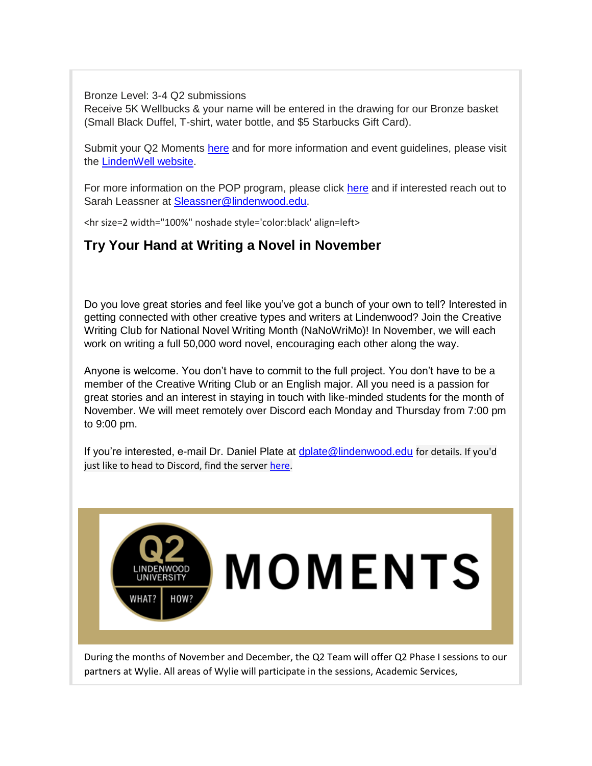Bronze Level: 3-4 Q2 submissions

Receive 5K Wellbucks & your name will be entered in the drawing for our Bronze basket (Small Black Duffel, T-shirt, water bottle, and \$5 Starbucks Gift Card).

Submit your Q2 Moments [here](https://custapp.marketvolt.com/link/p9fWFzZYg5?CM=0&X=PREVIEW) and for more information and event guidelines, please visit the [LindenWell website.](https://custapp.marketvolt.com/link/CQNPAeDTMi?CM=0&X=PREVIEW)

For more information on the POP program, please click [here](https://custapp.marketvolt.com/link/1fD3duIn4o?CM=0&X=PREVIEW) and if interested reach out to Sarah Leassner at [Sleassner@lindenwood.edu.](mailto:Sleassner@lindenwood.edu)

<hr size=2 width="100%" noshade style='color:black' align=left>

### **Try Your Hand at Writing a Novel in November**

Do you love great stories and feel like you've got a bunch of your own to tell? Interested in getting connected with other creative types and writers at Lindenwood? Join the Creative Writing Club for National Novel Writing Month (NaNoWriMo)! In November, we will each work on writing a full 50,000 word novel, encouraging each other along the way.

Anyone is welcome. You don't have to commit to the full project. You don't have to be a member of the Creative Writing Club or an English major. All you need is a passion for great stories and an interest in staying in touch with like-minded students for the month of November. We will meet remotely over Discord each Monday and Thursday from 7:00 pm to 9:00 pm.

If you're interested, e-mail Dr. Daniel Plate at [dplate@lindenwood.edu](mailto:dplate@lindenwood.edu) for details. If you'd just like to head to Discord, find the server [here.](https://hes32-ctp.trendmicro.com/wis/clicktime/v1/query?url=https%3a%2f%2fdiscord.com%2finvite%2fYS5U3Q4&umid=78275dd7-c5b3-495b-b01d-57610dfdbc55&auth=bc7ac43e330fa629f0cfb11786c85e83c10d06b8-0d97d90cc474fcdf112f0a6110eea825abada774.)



During the months of November and December, the Q2 Team will offer Q2 Phase I sessions to our partners at Wylie. All areas of Wylie will participate in the sessions, Academic Services,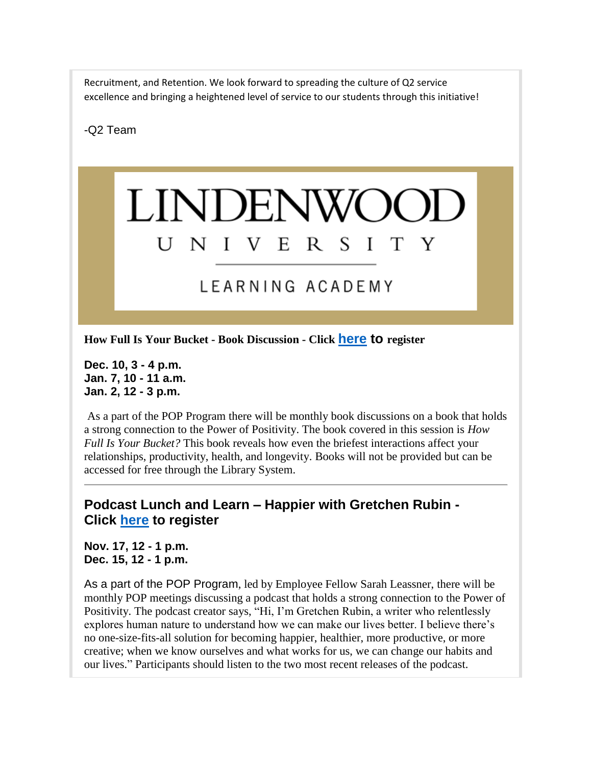Recruitment, and Retention. We look forward to spreading the culture of Q2 service excellence and bringing a heightened level of service to our students through this initiative!

-Q2 Team

### **LINDENWO** UNIVER S. T  $\blacksquare$

## LEARNING ACADEMY

**How Full Is Your Bucket - Book Discussion - Click [here](https://pop-bucket-book.training.lindenwood.edu/) to register**

**Dec. 10, 3 - 4 p.m. Jan. 7, 10 - 11 a.m. Jan. 2, 12 - 3 p.m.**

As a part of the POP Program there will be monthly book discussions on a book that holds a strong connection to the Power of Positivity. The book covered in this session is *How Full Is Your Bucket?* This book reveals how even the briefest interactions affect your relationships, productivity, health, and longevity. Books will not be provided but can be accessed for free through the Library System.

### **Podcast Lunch and Learn – Happier with Gretchen Rubin - Click [here](https://pop-happier.training.lindenwood.edu/) to register**

**Nov. 17, 12 - 1 p.m. Dec. 15, 12 - 1 p.m.**

As a part of the POP Program, led by Employee Fellow Sarah Leassner, there will be monthly POP meetings discussing a podcast that holds a strong connection to the Power of Positivity. The podcast creator says, "Hi, I'm Gretchen Rubin, a writer who relentlessly explores human nature to understand how we can make our lives better. I believe there's no one-size-fits-all solution for becoming happier, healthier, more productive, or more creative; when we know ourselves and what works for us, we can change our habits and our lives." Participants should listen to the two most recent releases of the podcast.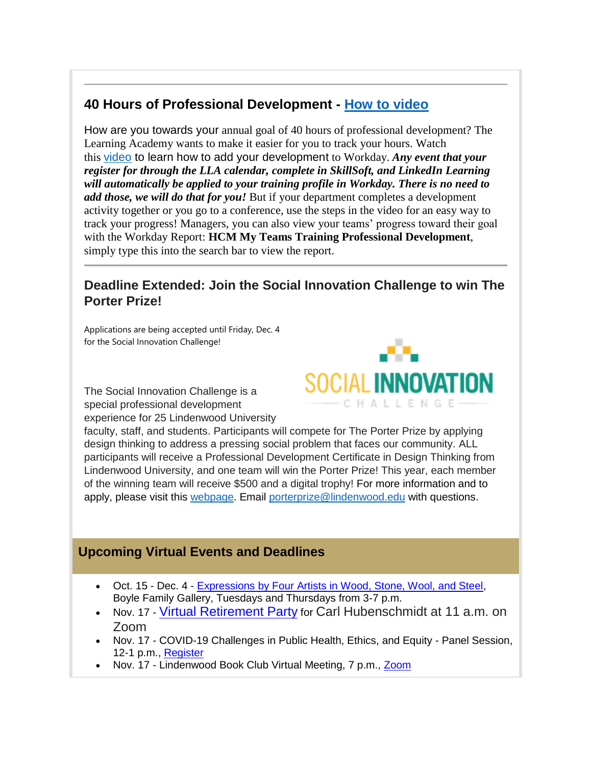### **40 Hours of Professional Development - [How to video](https://www.youtube.com/watch?v=QZQI0OXpnd4)**

How are you towards your annual goal of 40 hours of professional development? The Learning Academy wants to make it easier for you to track your hours. Watch this [video](https://www.youtube.com/watch?v=QZQI0OXpnd4) to learn how to add your development to Workday. *Any event that your register for through the LLA calendar, complete in SkillSoft, and LinkedIn Learning will automatically be applied to your training profile in Workday. There is no need to add those, we will do that for you!* But if your department completes a development activity together or you go to a conference, use the steps in the video for an easy way to track your progress! Managers, you can also view your teams' progress toward their goal with the Workday Report: **HCM My Teams Training Professional Development**, simply type this into the search bar to view the report.

### **Deadline Extended: Join the Social Innovation Challenge to win The Porter Prize!**

Applications are being accepted until Friday, Dec. 4 for the Social Innovation Challenge!

The Social Innovation Challenge is a special professional development experience for 25 Lindenwood University



faculty, staff, and students. Participants will compete for The Porter Prize by applying design thinking to address a pressing social problem that faces our community. ALL participants will receive a Professional Development Certificate in Design Thinking from Lindenwood University, and one team will win the Porter Prize! This year, each member of the winning team will receive \$500 and a digital trophy! For more information and to apply, please visit this [webpage.](https://www.lindenwood.edu/social-innovation-challenge/) Email [porterprize@lindenwood.edu](mailto:porterprize@lindenwood.edu) with questions.

### **Upcoming Virtual Events and Deadlines**

- Oct. 15 Dec. 4 [Expressions by Four Artists in Wood, Stone, Wool, and Steel,](https://www.lindenwood.edu/about/events/details/expressions-by-four-artists-in-wood-stone-wool-and-steel/2020-10-15/) Boyle Family Gallery, Tuesdays and Thursdays from 3-7 p.m.
- Nov. 17 [Virtual Retirement Party](https://felix.lindenwood.edu/newsletter/digest-2020/october/carl-retirement.png) for Carl Hubenschmidt at 11 a.m. on Zoom
- Nov. 17 COVID-19 Challenges in Public Health, Ethics, and Equity Panel Session, 12-1 p.m., [Register](https://covid19.training.lindenwood.edu/)
- Nov. 17 Lindenwood Book Club Virtual Meeting, 7 p.m., [Zoom](https://lindenwood.zoom.us/meeting/register/tJ0tdeGvrzsuH9b9p_YLjPHGnFSTECxXxhKH)